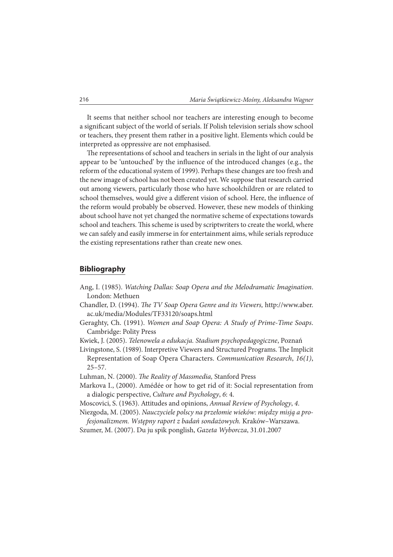It seems that neither school nor teachers are interesting enough to become a significant subject of the world of serials. If Polish television serials show school or teachers, they present them rather in a positive light. Elements which could be interpreted as oppressive are not emphasised.

The representations of school and teachers in serials in the light of our analysis appear to be 'untouched' by the influence of the introduced changes (e.g., the reform of the educational system of 1999). Perhaps these changes are too fresh and the new image of school has not been created yet. We suppose that research carried out among viewers, particularly those who have schoolchildren or are related to school themselves, would give a different vision of school. Here, the influence of the reform would probably be observed. However, these new models of thinking about school have not yet changed the normative scheme of expectations towards school and teachers. This scheme is used by scriptwriters to create the world, where we can safely and easily immerse in for entertainment aims, while serials reproduce the existing representations rather than create new ones.

## **Bibliography**

- Ang, I. (1985). Watching Dallas: Soap Opera and the Melodramatic Imagination. London: Methuen
- Chandler, D. (1994). The TV Soap Opera Genre and its Viewers, http://www.aber. ac.uk/media/Modules/TF33120/soaps.html
- Geraghty, Ch. (1991). Women and Soap Opera: A Study of Prime-Time Soaps. Cambridge: Polity Press
- Kwiek, J. (2005). Telenowela a edukacja. Stadium psychopedagogiczne, Poznań
- Livingstone, S. (1989). Interpretive Viewers and Structured Programs. The Implicit Representation of Soap Opera Characters. Communication Research, 16(1), 25–57.
- Luhman, N. (2000). The Reality of Massmedia, Stanford Press
- Markova I., (2000). Amédée or how to get rid of it: Social representation from a dialogic perspective, Culture and Psychology, 6: 4.
- Moscovici, S. (1963). Attitudes and opinions, Annual Review of Psychology, 4.
- Niezgoda, M. (2005). Nauczyciele polscy na przełomie wieków: między misją a profesjonalizmem. Wstępny raport z badań sondażowych. Kraków–Warszawa.
- Szumer, M. (2007). Du ju spik ponglish, Gazeta Wyborcza, 31.01.2007